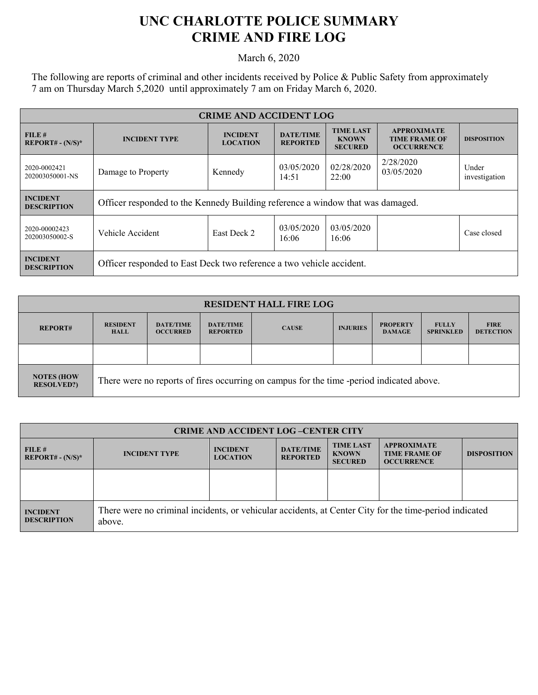## **UNC CHARLOTTE POLICE SUMMARY CRIME AND FIRE LOG**

March 6, 2020

The following are reports of criminal and other incidents received by Police & Public Safety from approximately 7 am on Thursday March 5,2020 until approximately 7 am on Friday March 6, 2020.

| <b>CRIME AND ACCIDENT LOG</b>         |                                                                                |                                    |                                     |                                                    |                                                                 |                        |  |
|---------------------------------------|--------------------------------------------------------------------------------|------------------------------------|-------------------------------------|----------------------------------------------------|-----------------------------------------------------------------|------------------------|--|
| FILE#<br>$REPORT# - (N/S)*$           | <b>INCIDENT TYPE</b>                                                           | <b>INCIDENT</b><br><b>LOCATION</b> | <b>DATE/TIME</b><br><b>REPORTED</b> | <b>TIME LAST</b><br><b>KNOWN</b><br><b>SECURED</b> | <b>APPROXIMATE</b><br><b>TIME FRAME OF</b><br><b>OCCURRENCE</b> | <b>DISPOSITION</b>     |  |
| 2020-0002421<br>202003050001-NS       | Damage to Property                                                             | Kennedy                            | 03/05/2020<br>14:51                 | 02/28/2020<br>22:00                                | 2/28/2020<br>03/05/2020                                         | Under<br>investigation |  |
| <b>INCIDENT</b><br><b>DESCRIPTION</b> | Officer responded to the Kennedy Building reference a window that was damaged. |                                    |                                     |                                                    |                                                                 |                        |  |
| 2020-00002423<br>202003050002-S       | Vehicle Accident                                                               | East Deck 2                        | 03/05/2020<br>16:06                 | 03/05/2020<br>16:06                                |                                                                 | Case closed            |  |
| <b>INCIDENT</b><br><b>DESCRIPTION</b> | Officer responded to East Deck two reference a two vehicle accident.           |                                    |                                     |                                                    |                                                                 |                        |  |

| <b>RESIDENT HALL FIRE LOG</b>          |                                                                                          |                                     |                                     |              |                 |                                  |                                  |                                 |
|----------------------------------------|------------------------------------------------------------------------------------------|-------------------------------------|-------------------------------------|--------------|-----------------|----------------------------------|----------------------------------|---------------------------------|
| <b>REPORT#</b>                         | <b>RESIDENT</b><br>HALL                                                                  | <b>DATE/TIME</b><br><b>OCCURRED</b> | <b>DATE/TIME</b><br><b>REPORTED</b> | <b>CAUSE</b> | <b>INJURIES</b> | <b>PROPERTY</b><br><b>DAMAGE</b> | <b>FULLY</b><br><b>SPRINKLED</b> | <b>FIRE</b><br><b>DETECTION</b> |
|                                        |                                                                                          |                                     |                                     |              |                 |                                  |                                  |                                 |
| <b>NOTES (HOW</b><br><b>RESOLVED?)</b> | There were no reports of fires occurring on campus for the time -period indicated above. |                                     |                                     |              |                 |                                  |                                  |                                 |

| <b>CRIME AND ACCIDENT LOG-CENTER CITY</b> |                                                                                                                  |                                    |                                     |                                                    |                                                                 |                    |  |
|-------------------------------------------|------------------------------------------------------------------------------------------------------------------|------------------------------------|-------------------------------------|----------------------------------------------------|-----------------------------------------------------------------|--------------------|--|
| FILE #<br>$REPORT# - (N/S)*$              | <b>INCIDENT TYPE</b>                                                                                             | <b>INCIDENT</b><br><b>LOCATION</b> | <b>DATE/TIME</b><br><b>REPORTED</b> | <b>TIME LAST</b><br><b>KNOWN</b><br><b>SECURED</b> | <b>APPROXIMATE</b><br><b>TIME FRAME OF</b><br><b>OCCURRENCE</b> | <b>DISPOSITION</b> |  |
|                                           |                                                                                                                  |                                    |                                     |                                                    |                                                                 |                    |  |
| <b>INCIDENT</b><br><b>DESCRIPTION</b>     | There were no criminal incidents, or vehicular accidents, at Center City for the time-period indicated<br>above. |                                    |                                     |                                                    |                                                                 |                    |  |